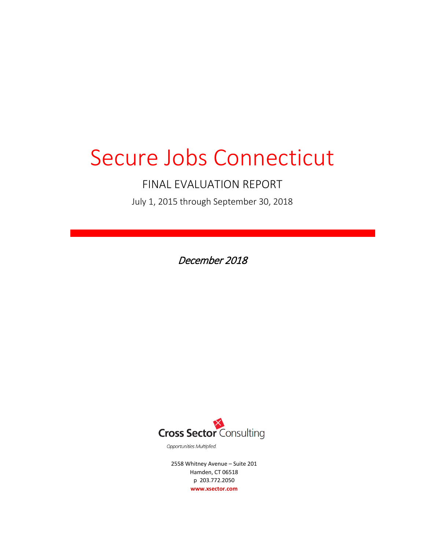# Secure Jobs Connecticut

## FINAL EVALUATION REPORT

July 1, 2015 through September 30, 2018

December 2018



Opportunities Multiplied.

2558 Whitney Avenue – Suite 201 Hamden, CT 06518 p 203.772.2050 **www.xsector.com**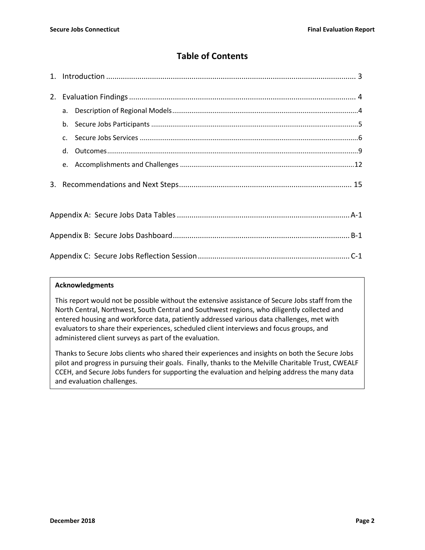### **Table of Contents**

| 2. |                |  |  |  |
|----|----------------|--|--|--|
|    | a.             |  |  |  |
|    | b.             |  |  |  |
|    | C <sub>1</sub> |  |  |  |
|    | d.             |  |  |  |
|    |                |  |  |  |
|    |                |  |  |  |
|    |                |  |  |  |
|    |                |  |  |  |
|    |                |  |  |  |

#### **Acknowledgments**

This report would not be possible without the extensive assistance of Secure Jobs staff from the North Central, Northwest, South Central and Southwest regions, who diligently collected and entered housing and workforce data, patiently addressed various data challenges, met with evaluators to share their experiences, scheduled client interviews and focus groups, and administered client surveys as part of the evaluation.

Thanks to Secure Jobs clients who shared their experiences and insights on both the Secure Jobs pilot and progress in pursuing their goals. Finally, thanks to the Melville Charitable Trust, CWEALF CCEH, and Secure Jobs funders for supporting the evaluation and helping address the many data and evaluation challenges.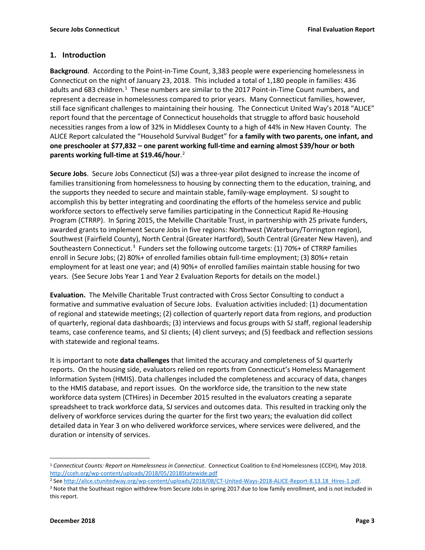#### **1. Introduction**

**Background**. According to the Point-in-Time Count, 3,383 people were experiencing homelessness in Connecticut on the night of January 23, 2018. This included a total of 1,180 people in families: 436 adults and 683 children.<sup>[1](#page-2-0)</sup> These numbers are similar to the 2017 Point-in-Time Count numbers, and represent a decrease in homelessness compared to prior years. Many Connecticut families, however, still face significant challenges to maintaining their housing. The Connecticut United Way's 2018 "ALICE" report found that the percentage of Connecticut households that struggle to afford basic household necessities ranges from a low of 32% in Middlesex County to a high of 44% in New Haven County. The ALICE Report calculated the "Household Survival Budget" for **a family with two parents, one infant, and one preschooler at \$77,832 – one parent working full-time and earning almost \$39/hour or both parents working full-time at \$19.46/hour**. [2](#page-2-1)

**Secure Jobs**. Secure Jobs Connecticut (SJ) was a three-year pilot designed to increase the income of families transitioning from homelessness to housing by connecting them to the education, training, and the supports they needed to secure and maintain stable, family-wage employment. SJ sought to accomplish this by better integrating and coordinating the efforts of the homeless service and public workforce sectors to effectively serve families participating in the Connecticut Rapid Re-Housing Program (CTRRP). In Spring 2015, the Melville Charitable Trust, in partnership with 25 private funders, awarded grants to implement Secure Jobs in five regions: Northwest (Waterbury/Torrington region), Southwest (Fairfield County), North Central (Greater Hartford), South Central (Greater New Haven), and Southeastern Connecticut.<sup>[3](#page-2-2)</sup> Funders set the following outcome targets: (1) 70%+ of CTRRP families enroll in Secure Jobs; (2) 80%+ of enrolled families obtain full-time employment; (3) 80%+ retain employment for at least one year; and (4) 90%+ of enrolled families maintain stable housing for two years. (See Secure Jobs Year 1 and Year 2 Evaluation Reports for details on the model.)

**Evaluation.** The Melville Charitable Trust contracted with Cross Sector Consulting to conduct a formative and summative evaluation of Secure Jobs. Evaluation activities included: (1) documentation of regional and statewide meetings; (2) collection of quarterly report data from regions, and production of quarterly, regional data dashboards; (3) interviews and focus groups with SJ staff, regional leadership teams, case conference teams, and SJ clients; (4) client surveys; and (5) feedback and reflection sessions with statewide and regional teams.

It is important to note **data challenges** that limited the accuracy and completeness of SJ quarterly reports. On the housing side, evaluators relied on reports from Connecticut's Homeless Management Information System (HMIS). Data challenges included the completeness and accuracy of data, changes to the HMIS database, and report issues. On the workforce side, the transition to the new state workforce data system (CTHires) in December 2015 resulted in the evaluators creating a separate spreadsheet to track workforce data, SJ services and outcomes data. This resulted in tracking only the delivery of workforce services during the quarter for the first two years; the evaluation did collect detailed data in Year 3 on who delivered workforce services, where services were delivered, and the duration or intensity of services.

<span id="page-2-2"></span><sup>3</sup> Note that the Southeast region withdrew from Secure Jobs in spring 2017 due to low family enrollment, and is not included in this report.

<span id="page-2-0"></span> <sup>1</sup> *Connecticut Counts: Report on Homelessness in Connecticut*. Connecticut Coalition to End Homelessness (CCEH), May 2018. http://cceh.org/wp-content/uploads/2018/05/2018Statewide.pdf

<span id="page-2-1"></span><sup>&</sup>lt;sup>2</sup> See http://alice.ctunitedway.org/wp-content/uploads/2018/08/CT-United-Ways-2018-ALICE-Report-8.13.18 Hires-1.pdf.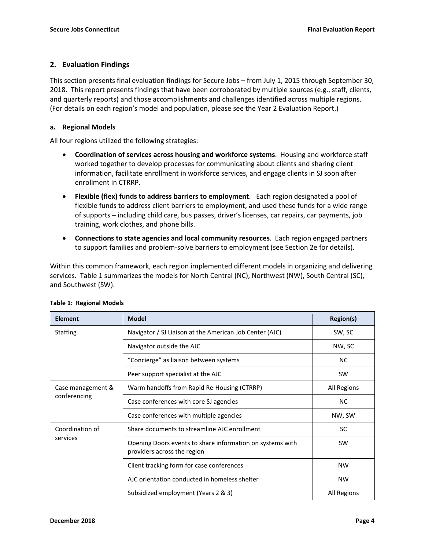#### **2. Evaluation Findings**

This section presents final evaluation findings for Secure Jobs – from July 1, 2015 through September 30, 2018. This report presents findings that have been corroborated by multiple sources (e.g., staff, clients, and quarterly reports) and those accomplishments and challenges identified across multiple regions. (For details on each region's model and population, please see the Year 2 Evaluation Report.)

#### **a. Regional Models**

All four regions utilized the following strategies:

- **Coordination of services across housing and workforce systems**. Housing and workforce staff worked together to develop processes for communicating about clients and sharing client information, facilitate enrollment in workforce services, and engage clients in SJ soon after enrollment in CTRRP.
- **Flexible (flex) funds to address barriers to employment**. Each region designated a pool of flexible funds to address client barriers to employment, and used these funds for a wide range of supports – including child care, bus passes, driver's licenses, car repairs, car payments, job training, work clothes, and phone bills.
- **Connections to state agencies and local community resources**. Each region engaged partners to support families and problem-solve barriers to employment (see Section 2e for details).

Within this common framework, each region implemented different models in organizing and delivering services. Table 1 summarizes the models for North Central (NC), Northwest (NW), South Central (SC), and Southwest (SW).

| <b>Element</b>    | <b>Model</b>                                                                             | <b>Region(s)</b> |  |
|-------------------|------------------------------------------------------------------------------------------|------------------|--|
| <b>Staffing</b>   | Navigator / SJ Liaison at the American Job Center (AJC)                                  | SW, SC           |  |
|                   | Navigator outside the AJC                                                                | NW, SC           |  |
|                   | "Concierge" as liaison between systems                                                   | <b>NC</b>        |  |
|                   | Peer support specialist at the AJC                                                       | <b>SW</b>        |  |
| Case management & | Warm handoffs from Rapid Re-Housing (CTRRP)                                              | All Regions      |  |
| conferencing      | Case conferences with core SJ agencies                                                   | <b>NC</b>        |  |
|                   | Case conferences with multiple agencies                                                  | NW, SW           |  |
| Coordination of   | Share documents to streamline AJC enrollment                                             | <b>SC</b>        |  |
| services          | Opening Doors events to share information on systems with<br>providers across the region | <b>SW</b>        |  |
|                   | Client tracking form for case conferences                                                | <b>NW</b>        |  |
|                   | AJC orientation conducted in homeless shelter                                            | <b>NW</b>        |  |
|                   | Subsidized employment (Years 2 & 3)                                                      | All Regions      |  |

#### **Table 1: Regional Models**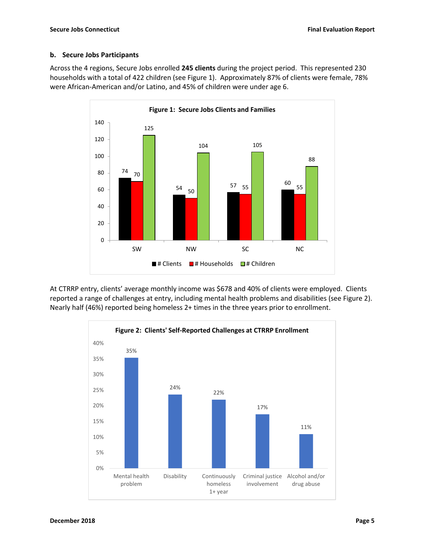#### **b. Secure Jobs Participants**

Across the 4 regions, Secure Jobs enrolled **245 clients** during the project period. This represented 230 households with a total of 422 children (see Figure 1). Approximately 87% of clients were female, 78% were African-American and/or Latino, and 45% of children were under age 6.



At CTRRP entry, clients' average monthly income was \$678 and 40% of clients were employed. Clients reported a range of challenges at entry, including mental health problems and disabilities (see Figure 2). Nearly half (46%) reported being homeless 2+ times in the three years prior to enrollment.

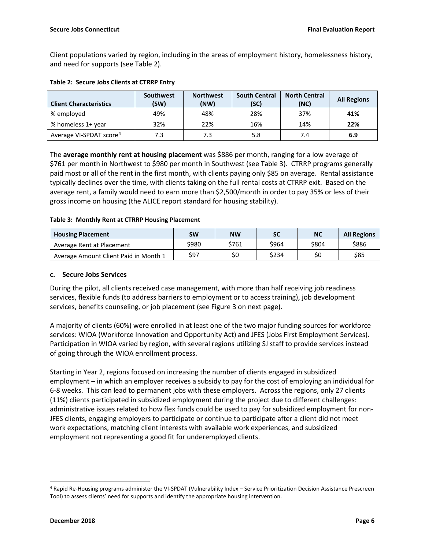Client populations varied by region, including in the areas of employment history, homelessness history, and need for supports (see Table 2).

| <b>Client Characteristics</b>       | <b>Southwest</b><br>(SW) | <b>Northwest</b><br>(NW) | <b>South Central</b><br>(SC) | <b>North Central</b><br>(NC) | <b>All Regions</b> |
|-------------------------------------|--------------------------|--------------------------|------------------------------|------------------------------|--------------------|
| % employed                          | 49%                      | 48%                      | 28%                          | 37%                          | 41%                |
| % homeless 1+ year                  | 32%                      | 22%                      | 16%                          | 14%                          | 22%                |
| Average VI-SPDAT score <sup>4</sup> | 7.3                      | 7.3                      | 5.8                          | 7.4                          | 6.9                |

#### **Table 2: Secure Jobs Clients at CTRRP Entry**

The **average monthly rent at housing placement** was \$886 per month, ranging for a low average of \$761 per month in Northwest to \$980 per month in Southwest (see Table 3). CTRRP programs generally paid most or all of the rent in the first month, with clients paying only \$85 on average. Rental assistance typically declines over the time, with clients taking on the full rental costs at CTRRP exit. Based on the average rent, a family would need to earn more than \$2,500/month in order to pay 35% or less of their gross income on housing (the ALICE report standard for housing stability).

#### **Table 3: Monthly Rent at CTRRP Housing Placement**

| <b>Housing Placement</b>              | SW    | <b>NW</b> | SC    | NC    | <b>All Regions</b> |
|---------------------------------------|-------|-----------|-------|-------|--------------------|
| Average Rent at Placement             | \$980 | \$761     | \$964 | \$804 | \$886              |
| Average Amount Client Paid in Month 1 | \$97  | \$0       | \$234 | \$0   | \$85               |

#### **c. Secure Jobs Services**

During the pilot, all clients received case management, with more than half receiving job readiness services, flexible funds (to address barriers to employment or to access training), job development services, benefits counseling, or job placement (see Figure 3 on next page).

A majority of clients (60%) were enrolled in at least one of the two major funding sources for workforce services: WIOA (Workforce Innovation and Opportunity Act) and JFES (Jobs First Employment Services). Participation in WIOA varied by region, with several regions utilizing SJ staff to provide services instead of going through the WIOA enrollment process.

Starting in Year 2, regions focused on increasing the number of clients engaged in subsidized employment – in which an employer receives a subsidy to pay for the cost of employing an individual for 6-8 weeks. This can lead to permanent jobs with these employers. Across the regions, only 27 clients (11%) clients participated in subsidized employment during the project due to different challenges: administrative issues related to how flex funds could be used to pay for subsidized employment for non-JFES clients, engaging employers to participate or continue to participate after a client did not meet work expectations, matching client interests with available work experiences, and subsidized employment not representing a good fit for underemployed clients.

<span id="page-5-0"></span> <sup>4</sup> Rapid Re-Housing programs administer the VI-SPDAT (Vulnerability Index – Service Prioritization Decision Assistance Prescreen Tool) to assess clients' need for supports and identify the appropriate housing intervention.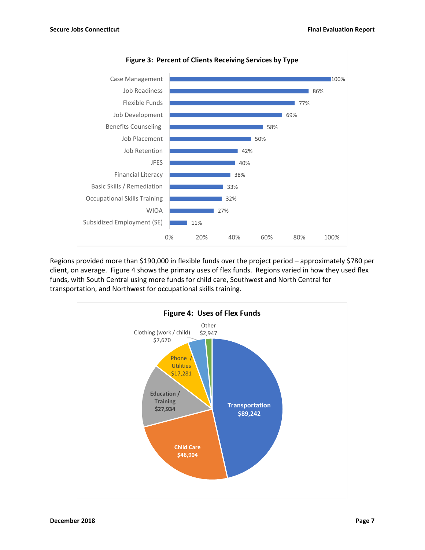

Regions provided more than \$190,000 in flexible funds over the project period – approximately \$780 per client, on average. Figure 4 shows the primary uses of flex funds. Regions varied in how they used flex funds, with South Central using more funds for child care, Southwest and North Central for transportation, and Northwest for occupational skills training.

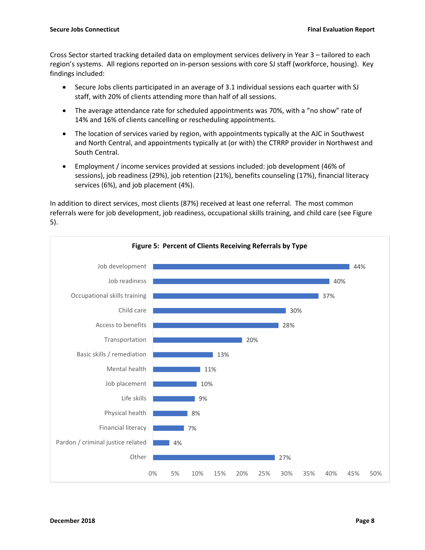Cross Sector started tracking detailed data on employment services delivery in Year 3 – tailored to each region's systems. All regions reported on in-person sessions with core SJ staff (workforce, housing). Key findings included:

- Secure Jobs clients participated in an average of 3.1 individual sessions each quarter with SJ staff, with 20% of clients attending more than half of all sessions.
- The average attendance rate for scheduled appointments was 70%, with a "no show" rate of 14% and 16% of clients cancelling or rescheduling appointments.
- The location of services varied by region, with appointments typically at the AJC in Southwest and North Central, and appointments typically at (or with) the CTRRP provider in Northwest and South Central.
- Employment / income services provided at sessions included: job development (46% of sessions), job readiness (29%), job retention (21%), benefits counseling (17%), financial literacy services (6%), and job placement (4%).

In addition to direct services, most clients (87%) received at least one referral. The most common referrals were for job development, job readiness, occupational skills training, and child care (see Figure 5).

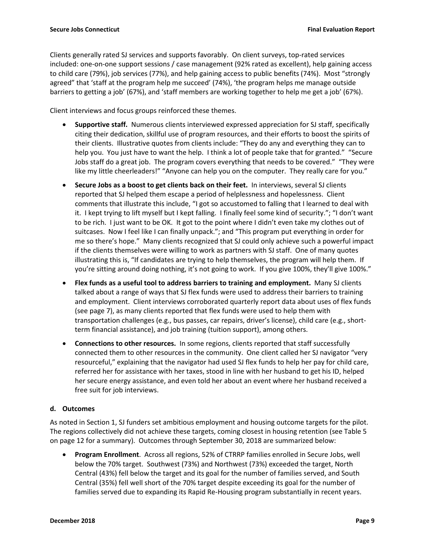Clients generally rated SJ services and supports favorably. On client surveys, top-rated services included: one-on-one support sessions / case management (92% rated as excellent), help gaining access to child care (79%), job services (77%), and help gaining access to public benefits (74%). Most "strongly agreed" that 'staff at the program help me succeed' (74%), 'the program helps me manage outside barriers to getting a job' (67%), and 'staff members are working together to help me get a job' (67%).

Client interviews and focus groups reinforced these themes.

- **Supportive staff.** Numerous clients interviewed expressed appreciation for SJ staff, specifically citing their dedication, skillful use of program resources, and their efforts to boost the spirits of their clients. Illustrative quotes from clients include: "They do any and everything they can to help you. You just have to want the help. I think a lot of people take that for granted." "Secure Jobs staff do a great job. The program covers everything that needs to be covered." "They were like my little cheerleaders!" "Anyone can help you on the computer. They really care for you."
- **Secure Jobs as a boost to get clients back on their feet.** In interviews, several SJ clients reported that SJ helped them escape a period of helplessness and hopelessness. Client comments that illustrate this include, "I got so accustomed to falling that I learned to deal with it. I kept trying to lift myself but I kept falling. I finally feel some kind of security."; "I don't want to be rich. I just want to be OK. It got to the point where I didn't even take my clothes out of suitcases. Now I feel like I can finally unpack."; and "This program put everything in order for me so there's hope." Many clients recognized that SJ could only achieve such a powerful impact if the clients themselves were willing to work as partners with SJ staff. One of many quotes illustrating this is, "If candidates are trying to help themselves, the program will help them. If you're sitting around doing nothing, it's not going to work. If you give 100%, they'll give 100%."
- **Flex funds as a useful tool to address barriers to training and employment.** Many SJ clients talked about a range of ways that SJ flex funds were used to address their barriers to training and employment. Client interviews corroborated quarterly report data about uses of flex funds (see page 7), as many clients reported that flex funds were used to help them with transportation challenges (e.g., bus passes, car repairs, driver's license), child care (e.g., shortterm financial assistance), and job training (tuition support), among others.
- **Connections to other resources.** In some regions, clients reported that staff successfully connected them to other resources in the community. One client called her SJ navigator "very resourceful," explaining that the navigator had used SJ flex funds to help her pay for child care, referred her for assistance with her taxes, stood in line with her husband to get his ID, helped her secure energy assistance, and even told her about an event where her husband received a free suit for job interviews.

#### **d. Outcomes**

As noted in Section 1, SJ funders set ambitious employment and housing outcome targets for the pilot. The regions collectively did not achieve these targets, coming closest in housing retention (see Table 5 on page 12 for a summary). Outcomes through September 30, 2018 are summarized below:

• **Program Enrollment**. Across all regions, 52% of CTRRP families enrolled in Secure Jobs, well below the 70% target. Southwest (73%) and Northwest (73%) exceeded the target, North Central (43%) fell below the target and its goal for the number of families served, and South Central (35%) fell well short of the 70% target despite exceeding its goal for the number of families served due to expanding its Rapid Re-Housing program substantially in recent years.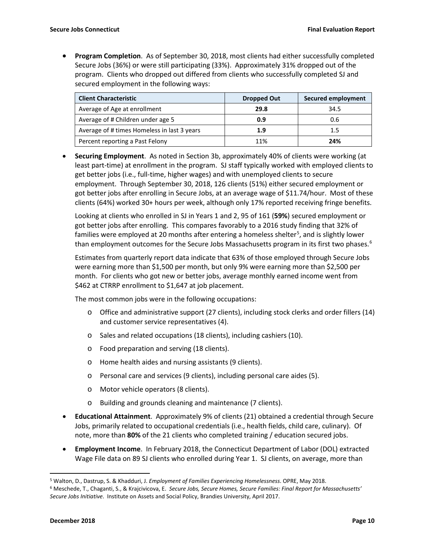• **Program Completion**. As of September 30, 2018, most clients had either successfully completed Secure Jobs (36%) or were still participating (33%). Approximately 31% dropped out of the program. Clients who dropped out differed from clients who successfully completed SJ and secured employment in the following ways:

| <b>Client Characteristic</b>                | <b>Dropped Out</b> | <b>Secured employment</b> |
|---------------------------------------------|--------------------|---------------------------|
| Average of Age at enrollment                | 29.8               | 34.5                      |
| Average of # Children under age 5           | 0.9                | 0.6                       |
| Average of # times Homeless in last 3 years | 1.9                | 1.5                       |
| Percent reporting a Past Felony             | 11%                | 24%                       |

• **Securing Employment**. As noted in Section 3b, approximately 40% of clients were working (at least part-time) at enrollment in the program. SJ staff typically worked with employed clients to get better jobs (i.e., full-time, higher wages) and with unemployed clients to secure employment. Through September 30, 2018, 126 clients (51%) either secured employment or got better jobs after enrolling in Secure Jobs, at an average wage of \$11.74/hour. Most of these clients (64%) worked 30+ hours per week, although only 17% reported receiving fringe benefits.

Looking at clients who enrolled in SJ in Years 1 and 2, 95 of 161 (**59%**) secured employment or got better jobs after enrolling. This compares favorably to a 2016 study finding that 32% of families were employed at 20 months after entering a homeless shelter<sup>[5](#page-9-0)</sup>, and is slightly lower than employment outcomes for the Secure Jobs Massachusetts program in its first two phases.<sup>[6](#page-9-1)</sup>

Estimates from quarterly report data indicate that 63% of those employed through Secure Jobs were earning more than \$1,500 per month, but only 9% were earning more than \$2,500 per month. For clients who got new or better jobs, average monthly earned income went from \$462 at CTRRP enrollment to \$1,647 at job placement.

The most common jobs were in the following occupations:

- o Office and administrative support (27 clients), including stock clerks and order fillers (14) and customer service representatives (4).
- o Sales and related occupations (18 clients), including cashiers (10).
- o Food preparation and serving (18 clients).
- o Home health aides and nursing assistants (9 clients).
- o Personal care and services (9 clients), including personal care aides (5).
- o Motor vehicle operators (8 clients).
- o Building and grounds cleaning and maintenance (7 clients).
- **Educational Attainment**. Approximately 9% of clients (21) obtained a credential through Secure Jobs, primarily related to occupational credentials (i.e., health fields, child care, culinary). Of note, more than **80%** of the 21 clients who completed training / education secured jobs.
- **Employment Income**. In February 2018, the Connecticut Department of Labor (DOL) extracted Wage File data on 89 SJ clients who enrolled during Year 1. SJ clients, on average, more than

<span id="page-9-0"></span> <sup>5</sup> Walton, D., Dastrup, S. & Khadduri, J. *Employment of Families Experiencing Homelessness*. OPRE, May 2018.

<span id="page-9-1"></span><sup>6</sup> Meschede, T., Chaganti, S., & Krajcivicova, E. *Secure Jobs, Secure Homes, Secure Families: Final Report for Massachusetts' Secure Jobs Initiative*. Institute on Assets and Social Policy, Brandies University, April 2017.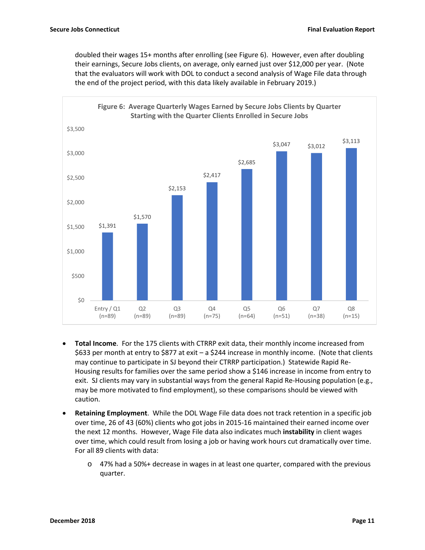doubled their wages 15+ months after enrolling (see Figure 6). However, even after doubling their earnings, Secure Jobs clients, on average, only earned just over \$12,000 per year. (Note that the evaluators will work with DOL to conduct a second analysis of Wage File data through the end of the project period, with this data likely available in February 2019.)



- **Total Income**. For the 175 clients with CTRRP exit data, their monthly income increased from \$633 per month at entry to \$877 at exit – a \$244 increase in monthly income. (Note that clients may continue to participate in SJ beyond their CTRRP participation.) Statewide Rapid Re-Housing results for families over the same period show a \$146 increase in income from entry to exit. SJ clients may vary in substantial ways from the general Rapid Re-Housing population (e.g., may be more motivated to find employment), so these comparisons should be viewed with caution.
- **Retaining Employment**. While the DOL Wage File data does not track retention in a specific job over time, 26 of 43 (60%) clients who got jobs in 2015-16 maintained their earned income over the next 12 months. However, Wage File data also indicates much **instability** in client wages over time, which could result from losing a job or having work hours cut dramatically over time. For all 89 clients with data:
	- o 47% had a 50%+ decrease in wages in at least one quarter, compared with the previous quarter.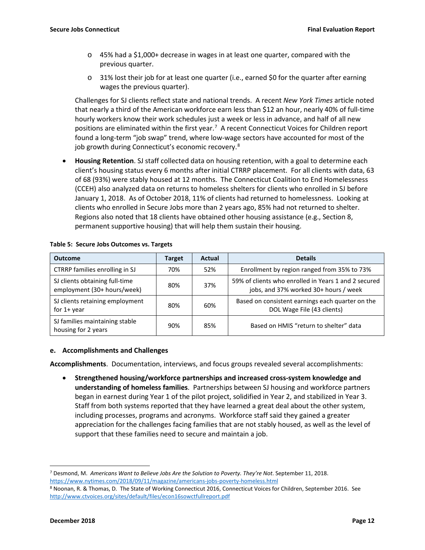- $\circ$  45% had a \$1,000+ decrease in wages in at least one quarter, compared with the previous quarter.
- $\circ$  31% lost their job for at least one quarter (i.e., earned \$0 for the quarter after earning wages the previous quarter).

Challenges for SJ clients reflect state and national trends. A recent *New York Times* article noted that nearly a third of the American workforce earn less than \$12 an hour, nearly 40% of full-time hourly workers know their work schedules just a week or less in advance, and half of all new positions are eliminated within the first year. [7](#page-11-0) A recent Connecticut Voices for Children report found a long-term "job swap" trend, where low-wage sectors have accounted for most of the job growth during Connecticut's economic recovery.<sup>[8](#page-11-1)</sup>

• **Housing Retention**. SJ staff collected data on housing retention, with a goal to determine each client's housing status every 6 months after initial CTRRP placement. For all clients with data, 63 of 68 (93%) were stably housed at 12 months. The Connecticut Coalition to End Homelessness (CCEH) also analyzed data on returns to homeless shelters for clients who enrolled in SJ before January 1, 2018. As of October 2018, 11% of clients had returned to homelessness. Looking at clients who enrolled in Secure Jobs more than 2 years ago, 85% had not returned to shelter. Regions also noted that 18 clients have obtained other housing assistance (e.g., Section 8, permanent supportive housing) that will help them sustain their housing.

| <b>Outcome</b>                                                | Target | Actual | <b>Details</b>                                                                                |
|---------------------------------------------------------------|--------|--------|-----------------------------------------------------------------------------------------------|
| CTRRP families enrolling in SJ                                | 70%    | 52%    | Enrollment by region ranged from 35% to 73%                                                   |
| SJ clients obtaining full-time<br>employment (30+ hours/week) | 80%    | 37%    | 59% of clients who enrolled in Years 1 and 2 secured<br>jobs, and 37% worked 30+ hours / week |
| SJ clients retaining employment<br>for $1+$ year              | 80%    | 60%    | Based on consistent earnings each quarter on the<br>DOL Wage File (43 clients)                |
| SJ families maintaining stable<br>housing for 2 years         | 90%    | 85%    | Based on HMIS "return to shelter" data                                                        |

#### **Table 5: Secure Jobs Outcomes vs. Targets**

#### **e. Accomplishments and Challenges**

**Accomplishments**. Documentation, interviews, and focus groups revealed several accomplishments:

• **Strengthened housing/workforce partnerships and increased cross-system knowledge and understanding of homeless families**. Partnerships between SJ housing and workforce partners began in earnest during Year 1 of the pilot project, solidified in Year 2, and stabilized in Year 3. Staff from both systems reported that they have learned a great deal about the other system, including processes, programs and acronyms. Workforce staff said they gained a greater appreciation for the challenges facing families that are not stably housed, as well as the level of support that these families need to secure and maintain a job.

<span id="page-11-0"></span> <sup>7</sup> Desmond, M. *Americans Want to Believe Jobs Are the Solution to Poverty. They're Not*. September 11, 2018. <https://www.nytimes.com/2018/09/11/magazine/americans-jobs-poverty-homeless.html>

<span id="page-11-1"></span><sup>8</sup> Noonan, R. & Thomas, D. The State of Working Connecticut 2016, Connecticut Voices for Children, September 2016. See <http://www.ctvoices.org/sites/default/files/econ16sowctfullreport.pdf>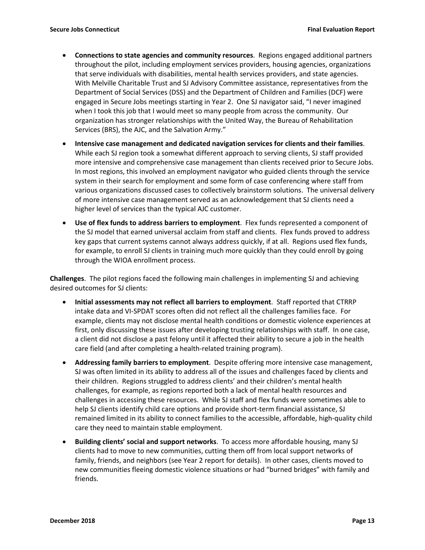- **Connections to state agencies and community resources**. Regions engaged additional partners throughout the pilot, including employment services providers, housing agencies, organizations that serve individuals with disabilities, mental health services providers, and state agencies. With Melville Charitable Trust and SJ Advisory Committee assistance, representatives from the Department of Social Services (DSS) and the Department of Children and Families (DCF) were engaged in Secure Jobs meetings starting in Year 2. One SJ navigator said, "I never imagined when I took this job that I would meet so many people from across the community. Our organization has stronger relationships with the United Way, the Bureau of Rehabilitation Services (BRS), the AJC, and the Salvation Army."
- **Intensive case management and dedicated navigation services for clients and their families**. While each SJ region took a somewhat different approach to serving clients, SJ staff provided more intensive and comprehensive case management than clients received prior to Secure Jobs. In most regions, this involved an employment navigator who guided clients through the service system in their search for employment and some form of case conferencing where staff from various organizations discussed cases to collectively brainstorm solutions. The universal delivery of more intensive case management served as an acknowledgement that SJ clients need a higher level of services than the typical AJC customer.
- **Use of flex funds to address barriers to employment**. Flex funds represented a component of the SJ model that earned universal acclaim from staff and clients. Flex funds proved to address key gaps that current systems cannot always address quickly, if at all. Regions used flex funds, for example, to enroll SJ clients in training much more quickly than they could enroll by going through the WIOA enrollment process.

**Challenges**. The pilot regions faced the following main challenges in implementing SJ and achieving desired outcomes for SJ clients:

- **Initial assessments may not reflect all barriers to employment**. Staff reported that CTRRP intake data and VI-SPDAT scores often did not reflect all the challenges families face. For example, clients may not disclose mental health conditions or domestic violence experiences at first, only discussing these issues after developing trusting relationships with staff. In one case, a client did not disclose a past felony until it affected their ability to secure a job in the health care field (and after completing a health-related training program).
- **Addressing family barriers to employment**. Despite offering more intensive case management, SJ was often limited in its ability to address all of the issues and challenges faced by clients and their children. Regions struggled to address clients' and their children's mental health challenges, for example, as regions reported both a lack of mental health resources and challenges in accessing these resources. While SJ staff and flex funds were sometimes able to help SJ clients identify child care options and provide short-term financial assistance, SJ remained limited in its ability to connect families to the accessible, affordable, high-quality child care they need to maintain stable employment.
- **Building clients' social and support networks**. To access more affordable housing, many SJ clients had to move to new communities, cutting them off from local support networks of family, friends, and neighbors (see Year 2 report for details). In other cases, clients moved to new communities fleeing domestic violence situations or had "burned bridges" with family and friends.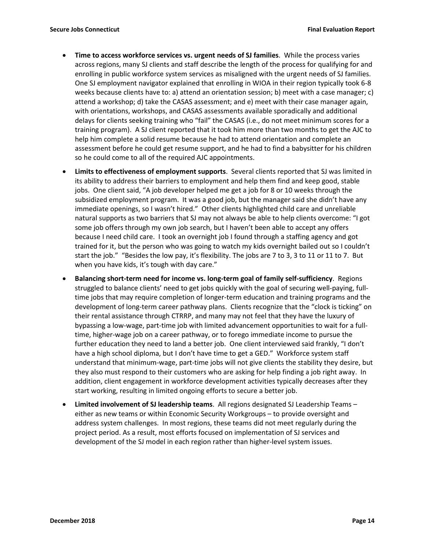- **Time to access workforce services vs. urgent needs of SJ families**. While the process varies across regions, many SJ clients and staff describe the length of the process for qualifying for and enrolling in public workforce system services as misaligned with the urgent needs of SJ families. One SJ employment navigator explained that enrolling in WIOA in their region typically took 6-8 weeks because clients have to: a) attend an orientation session; b) meet with a case manager; c) attend a workshop; d) take the CASAS assessment; and e) meet with their case manager again, with orientations, workshops, and CASAS assessments available sporadically and additional delays for clients seeking training who "fail" the CASAS (i.e., do not meet minimum scores for a training program). A SJ client reported that it took him more than two months to get the AJC to help him complete a solid resume because he had to attend orientation and complete an assessment before he could get resume support, and he had to find a babysitter for his children so he could come to all of the required AJC appointments.
- **Limits to effectiveness of employment supports**. Several clients reported that SJ was limited in its ability to address their barriers to employment and help them find and keep good, stable jobs. One client said, "A job developer helped me get a job for 8 or 10 weeks through the subsidized employment program. It was a good job, but the manager said she didn't have any immediate openings, so I wasn't hired." Other clients highlighted child care and unreliable natural supports as two barriers that SJ may not always be able to help clients overcome: "I got some job offers through my own job search, but I haven't been able to accept any offers because I need child care. I took an overnight job I found through a staffing agency and got trained for it, but the person who was going to watch my kids overnight bailed out so I couldn't start the job." "Besides the low pay, it's flexibility. The jobs are 7 to 3, 3 to 11 or 11 to 7. But when you have kids, it's tough with day care."
- **Balancing short-term need for income vs. long-term goal of family self-sufficiency**. Regions struggled to balance clients' need to get jobs quickly with the goal of securing well-paying, fulltime jobs that may require completion of longer-term education and training programs and the development of long-term career pathway plans. Clients recognize that the "clock is ticking" on their rental assistance through CTRRP, and many may not feel that they have the luxury of bypassing a low-wage, part-time job with limited advancement opportunities to wait for a fulltime, higher-wage job on a career pathway, or to forego immediate income to pursue the further education they need to land a better job. One client interviewed said frankly, "I don't have a high school diploma, but I don't have time to get a GED." Workforce system staff understand that minimum-wage, part-time jobs will not give clients the stability they desire, but they also must respond to their customers who are asking for help finding a job right away. In addition, client engagement in workforce development activities typically decreases after they start working, resulting in limited ongoing efforts to secure a better job.
- **Limited involvement of SJ leadership teams**. All regions designated SJ Leadership Teams either as new teams or within Economic Security Workgroups – to provide oversight and address system challenges. In most regions, these teams did not meet regularly during the project period. As a result, most efforts focused on implementation of SJ services and development of the SJ model in each region rather than higher-level system issues.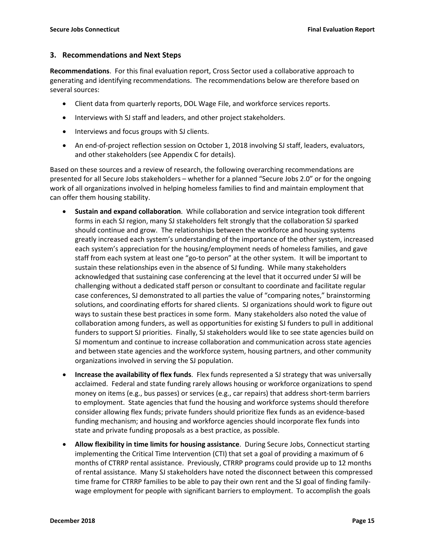#### **3. Recommendations and Next Steps**

**Recommendations**. For this final evaluation report, Cross Sector used a collaborative approach to generating and identifying recommendations. The recommendations below are therefore based on several sources:

- Client data from quarterly reports, DOL Wage File, and workforce services reports.
- Interviews with SJ staff and leaders, and other project stakeholders.
- Interviews and focus groups with SJ clients.
- An end-of-project reflection session on October 1, 2018 involving SJ staff, leaders, evaluators, and other stakeholders (see Appendix C for details).

Based on these sources and a review of research, the following overarching recommendations are presented for all Secure Jobs stakeholders – whether for a planned "Secure Jobs 2.0" or for the ongoing work of all organizations involved in helping homeless families to find and maintain employment that can offer them housing stability.

- **Sustain and expand collaboration**. While collaboration and service integration took different forms in each SJ region, many SJ stakeholders felt strongly that the collaboration SJ sparked should continue and grow. The relationships between the workforce and housing systems greatly increased each system's understanding of the importance of the other system, increased each system's appreciation for the housing/employment needs of homeless families, and gave staff from each system at least one "go-to person" at the other system. It will be important to sustain these relationships even in the absence of SJ funding. While many stakeholders acknowledged that sustaining case conferencing at the level that it occurred under SJ will be challenging without a dedicated staff person or consultant to coordinate and facilitate regular case conferences, SJ demonstrated to all parties the value of "comparing notes," brainstorming solutions, and coordinating efforts for shared clients. SJ organizations should work to figure out ways to sustain these best practices in some form. Many stakeholders also noted the value of collaboration among funders, as well as opportunities for existing SJ funders to pull in additional funders to support SJ priorities. Finally, SJ stakeholders would like to see state agencies build on SJ momentum and continue to increase collaboration and communication across state agencies and between state agencies and the workforce system, housing partners, and other community organizations involved in serving the SJ population.
- **Increase the availability of flex funds**. Flex funds represented a SJ strategy that was universally acclaimed. Federal and state funding rarely allows housing or workforce organizations to spend money on items (e.g., bus passes) or services (e.g., car repairs) that address short-term barriers to employment. State agencies that fund the housing and workforce systems should therefore consider allowing flex funds; private funders should prioritize flex funds as an evidence-based funding mechanism; and housing and workforce agencies should incorporate flex funds into state and private funding proposals as a best practice, as possible.
- **Allow flexibility in time limits for housing assistance**. During Secure Jobs, Connecticut starting implementing the Critical Time Intervention (CTI) that set a goal of providing a maximum of 6 months of CTRRP rental assistance. Previously, CTRRP programs could provide up to 12 months of rental assistance. Many SJ stakeholders have noted the disconnect between this compressed time frame for CTRRP families to be able to pay their own rent and the SJ goal of finding familywage employment for people with significant barriers to employment. To accomplish the goals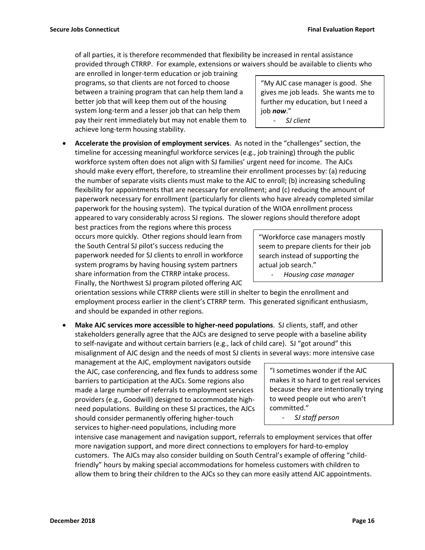of all parties, it is therefore recommended that flexibility be increased in rental assistance provided through CTRRP. For example, extensions or waivers should be available to clients who

are enrolled in longer-term education or job training programs, so that clients are not forced to choose between a training program that can help them land a better job that will keep them out of the housing system long-term and a lesser job that can help them pay their rent immediately but may not enable them to achieve long-term housing stability.

"My AJC case manager is good. She gives me job leads. She wants me to further my education, but I need a job *now*." - *SJ client*

• **Accelerate the provision of employment services**. As noted in the "challenges" section, the timeline for accessing meaningful workforce services (e.g., job training) through the public workforce system often does not align with SJ families' urgent need for income. The AJCs should make every effort, therefore, to streamline their enrollment processes by: (a) reducing the number of separate visits clients must make to the AJC to enroll; (b) increasing scheduling flexibility for appointments that are necessary for enrollment; and (c) reducing the amount of paperwork necessary for enrollment (particularly for clients who have already completed similar paperwork for the housing system). The typical duration of the WIOA enrollment process appeared to vary considerably across SJ regions. The slower regions should therefore adopt

best practices from the regions where this process occurs more quickly. Other regions should learn from the South Central SJ pilot's success reducing the paperwork needed for SJ clients to enroll in workforce system programs by having housing system partners share information from the CTRRP intake process. Finally, the Northwest SJ program piloted offering AJC

orientation sessions while CTRRP clients were still in shelter to begin the enrollment and employment process earlier in the client's CTRRP term. This generated significant enthusiasm, and should be expanded in other regions.

• **Make AJC services more accessible to higher-need populations**. SJ clients, staff, and other stakeholders generally agree that the AJCs are designed to serve people with a baseline ability to self-navigate and without certain barriers (e.g., lack of child care). SJ "got around" this misalignment of AJC design and the needs of most SJ clients in several ways: more intensive case

management at the AJC, employment navigators outside the AJC, case conferencing, and flex funds to address some barriers to participation at the AJCs. Some regions also made a large number of referrals to employment services providers (e.g., Goodwill) designed to accommodate highneed populations. Building on these SJ practices, the AJCs should consider permanently offering higher-touch services to higher-need populations, including more

"I sometimes wonder if the AJC makes it so hard to get real services because they are intentionally trying to weed people out who aren't committed."

- *SJ staff person*

intensive case management and navigation support, referrals to employment services that offer more navigation support, and more direct connections to employers for hard-to-employ customers. The AJCs may also consider building on South Central's example of offering "childfriendly" hours by making special accommodations for homeless customers with children to allow them to bring their children to the AJCs so they can more easily attend AJC appointments.

"Workforce case managers mostly seem to prepare clients for their job search instead of supporting the actual job search."

- *Housing case manager*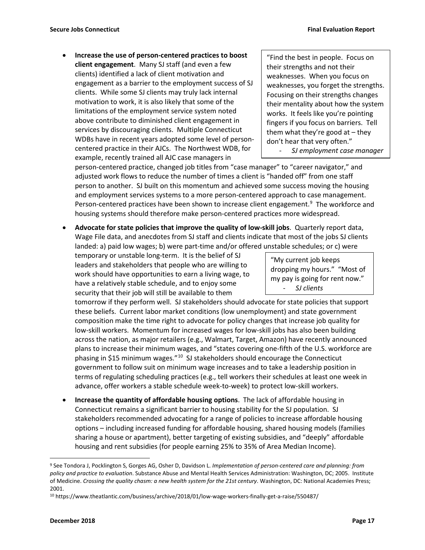• **Increase the use of person-centered practices to boost client engagement**. Many SJ staff (and even a few clients) identified a lack of client motivation and engagement as a barrier to the employment success of SJ clients. While some SJ clients may truly lack internal motivation to work, it is also likely that some of the limitations of the employment service system noted above contribute to diminished client engagement in services by discouraging clients. Multiple Connecticut WDBs have in recent years adopted some level of personcentered practice in their AJCs. The Northwest WDB, for example, recently trained all AJC case managers in

"Find the best in people. Focus on their strengths and not their weaknesses. When you focus on weaknesses, you forget the strengths. Focusing on their strengths changes their mentality about how the system works. It feels like you're pointing fingers if you focus on barriers. Tell them what they're good at  $-$  they don't hear that very often." - *SJ employment case manager*

person-centered practice, changed job titles from "case manager" to "career navigator," and adjusted work flows to reduce the number of times a client is "handed off" from one staff person to another. SJ built on this momentum and achieved some success moving the housing and employment services systems to a more person-centered approach to case management. Person-centered practices have been shown to increase client engagement.<sup>[9](#page-16-0)</sup> The workforce and housing systems should therefore make person-centered practices more widespread.

• **Advocate for state policies that improve the quality of low-skill jobs**. Quarterly report data, Wage File data, and anecdotes from SJ staff and clients indicate that most of the jobs SJ clients landed: a) paid low wages; b) were part-time and/or offered unstable schedules; or c) were

temporary or unstable long-term. It is the belief of SJ leaders and stakeholders that people who are willing to work should have opportunities to earn a living wage, to have a relatively stable schedule, and to enjoy some security that their job will still be available to them

"My current job keeps dropping my hours." "Most of my pay is going for rent now." - *SJ clients*

tomorrow if they perform well. SJ stakeholders should advocate for state policies that support these beliefs. Current labor market conditions (low unemployment) and state government composition make the time right to advocate for policy changes that increase job quality for low-skill workers. Momentum for increased wages for low-skill jobs has also been building across the nation, as major retailers (e.g., Walmart, Target, Amazon) have recently announced plans to increase their minimum wages, and "states covering one-fifth of the U.S. workforce are phasing in \$15 minimum wages."[10](#page-16-1) SJ stakeholders should encourage the Connecticut government to follow suit on minimum wage increases and to take a leadership position in terms of regulating scheduling practices (e.g., tell workers their schedules at least one week in advance, offer workers a stable schedule week-to-week) to protect low-skill workers.

• **Increase the quantity of affordable housing options**. The lack of affordable housing in Connecticut remains a significant barrier to housing stability for the SJ population. SJ stakeholders recommended advocating for a range of policies to increase affordable housing options – including increased funding for affordable housing, shared housing models (families sharing a house or apartment), better targeting of existing subsidies, and "deeply" affordable housing and rent subsidies (for people earning 25% to 35% of Area Median Income).

<span id="page-16-0"></span> <sup>9</sup> See Tondora J, Pocklington S, Gorges AG, Osher D, Davidson L. *Implementation of person-centered care and planning: from policy and practice to evaluation*. Substance Abuse and Mental Health Services Administration: Washington, DC; 2005. Institute of Medicine. *Crossing the quality chasm: a new health system for the 21st century*. Washington, DC: National Academies Press; 2001.

<span id="page-16-1"></span><sup>10</sup> https://www.theatlantic.com/business/archive/2018/01/low-wage-workers-finally-get-a-raise/550487/